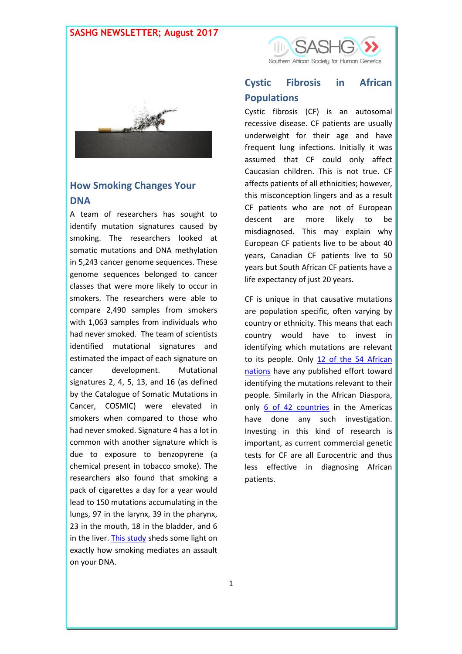### **SASHG NEWSLETTER; August 2017**



## **How Smoking Changes Your DNA**

A team of researchers has sought to identify mutation signatures caused by smoking. The researchers looked at somatic mutations and DNA methylation in 5,243 cancer genome sequences. These genome sequences belonged to cancer classes that were more likely to occur in smokers. The researchers were able to compare 2,490 samples from smokers with 1,063 samples from individuals who had never smoked. The team of scientists identified mutational signatures and estimated the impact of each signature on cancer development. Mutational signatures 2, 4, 5, 13, and 16 (as defined by the Catalogue of Somatic Mutations in Cancer, COSMIC) were elevated in smokers when compared to those who had never smoked. Signature 4 has a lot in common with another signature which is due to exposure to benzopyrene (a chemical present in tobacco smoke). The researchers also found that smoking a pack of cigarettes a day for a year would lead to 150 mutations accumulating in the lungs, 97 in the larynx, 39 in the pharynx, 23 in the mouth, 18 in the bladder, and 6 in the liver. [This study](http://science.sciencemag.org/content/354/6312/618.full) sheds some light on exactly how smoking mediates an assault on your DNA.



## **Cystic Fibrosis in African Populations**

Cystic fibrosis (CF) is an autosomal recessive disease. CF patients are usually underweight for their age and have frequent lung infections. Initially it was assumed that CF could only affect Caucasian children. This is not true. CF affects patients of all ethnicities; however, this misconception lingers and as a result CF patients who are not of European descent are more likely to be misdiagnosed. This may explain why European CF patients live to be about 40 years, Canadian CF patients live to 50 years but South African CF patients have a life expectancy of just 20 years.

CF is unique in that causative mutations are population specific, often varying by country or ethnicity. This means that each country would have to invest in identifying which mutations are relevant to its people. Only [12 of the 54 African](https://www.nature.com/gim/journal/v18/n7/full/gim2015157a.html)  [nations](https://www.nature.com/gim/journal/v18/n7/full/gim2015157a.html) have any published effort toward identifying the mutations relevant to their people. Similarly in the African Diaspora, only [6 of 42 countries](http://www.atsjournals.org/doi/10.1513/AnnalsATS.201606-481FR) in the Americas have done any such investigation. Investing in this kind of research is important, as current commercial genetic tests for CF are all Eurocentric and thus less effective in diagnosing African patients.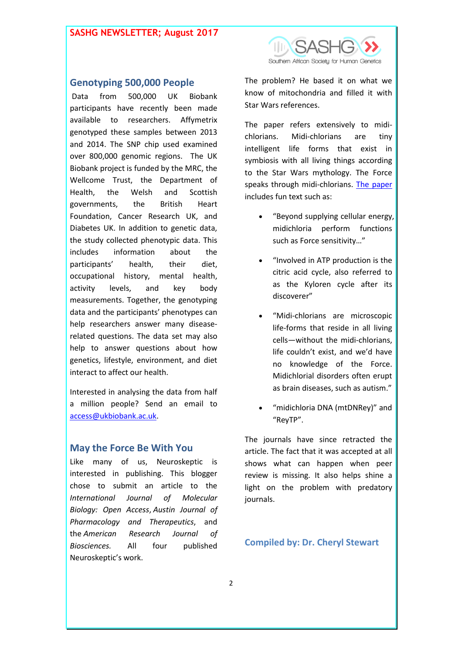### **SASHG NEWSLETTER; August 2017**



### **Genotyping 500,000 People**

Data from 500,000 UK Biobank participants have recently been made available to researchers. Affymetrix genotyped these samples between 2013 and 2014. The SNP chip used examined over 800,000 genomic regions. The UK Biobank project is funded by the MRC, the Wellcome Trust, the Department of Health, the Welsh and Scottish governments, the British Heart Foundation, Cancer Research UK, and Diabetes UK. In addition to genetic data, the study collected phenotypic data. This includes information about the participants' health, their diet, occupational history, mental health, activity levels, and key body measurements. Together, the genotyping data and the participants' phenotypes can help researchers answer many diseaserelated questions. The data set may also help to answer questions about how genetics, lifestyle, environment, and diet interact to affect our health.

Interested in analysing the data from half a million people? Send an email to [access@ukbiobank.ac.uk.](mailto:access@ukbiobank.ac.uk)

#### **May the Force Be With You**

Like many of us, Neuroskeptic is interested in publishing. This blogger chose to submit an article to the *International Journal of Molecular Biology: Open Access*, *Austin Journal of Pharmacology and Therapeutics*, and the *American Research Journal of Biosciences.* All four published Neuroskeptic's work.

The problem? He based it on what we know of mitochondria and filled it with Star Wars references.

The paper refers extensively to midichlorians. Midi-chlorians are tiny intelligent life forms that exist in symbiosis with all living things according to the Star Wars mythology. The Force speaks through midi-chlorians. [The paper](http://blogs.discovermagazine.com/neuroskeptic/2017/07/22/predatory-journals-star-wars-sting/#.WYHCOoSGOM-) includes fun text such as:

- "Beyond supplying cellular energy, midichloria perform functions such as Force sensitivity…"
- "Involved in ATP production is the citric acid cycle, also referred to as the Kyloren cycle after its discoverer"
- "Midi-chlorians are microscopic life-forms that reside in all living cells—without the midi-chlorians, life couldn't exist, and we'd have no knowledge of the Force. Midichlorial disorders often erupt as brain diseases, such as autism."
- "midichloria DNA (mtDNRey)" and "ReyTP".

The journals have since retracted the article. The fact that it was accepted at all shows what can happen when peer review is missing. It also helps shine a light on the problem with predatory journals.

#### **Compiled by: Dr. Cheryl Stewart**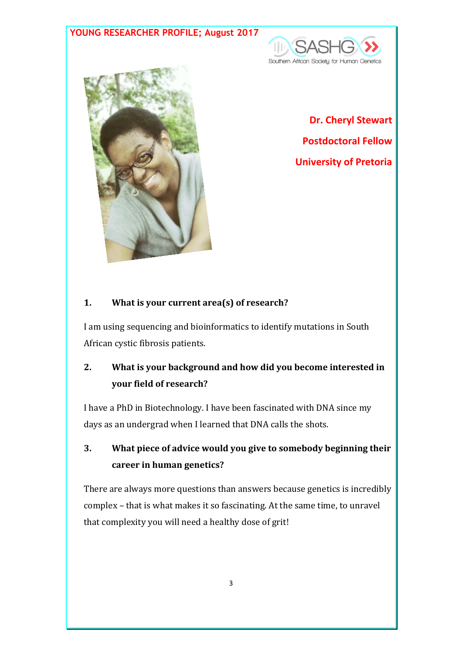## **YOUNG RESEARCHER PROFILE; August 2017**





**Dr. Cheryl Stewart Postdoctoral Fellow University of Pretoria**

### **1. What is your current area(s) of research?**

I am using sequencing and bioinformatics to identify mutations in South African cystic fibrosis patients.

# **2. What is your background and how did you become interested in your field of research?**

I have a PhD in Biotechnology. I have been fascinated with DNA since my days as an undergrad when I learned that DNA calls the shots.

# **3. What piece of advice would you give to somebody beginning their career in human genetics?**

There are always more questions than answers because genetics is incredibly complex – that is what makes it so fascinating. At the same time, to unravel that complexity you will need a healthy dose of grit!